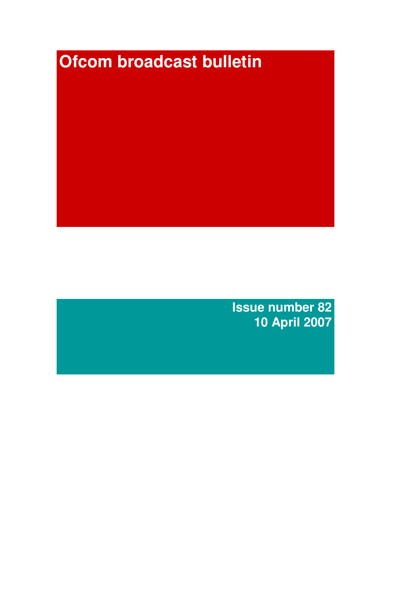# **Ofcom broadcast bulletin**

**Issue number 82 10 April 2007**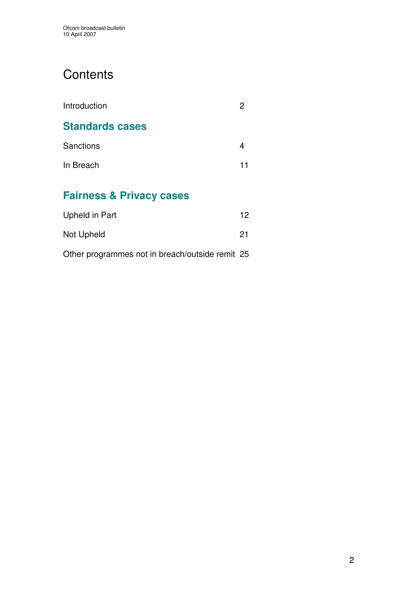# **Contents**

| Introduction                        |    |
|-------------------------------------|----|
| <b>Standards cases</b>              |    |
| Sanctions                           |    |
| In Breach                           | 11 |
| <b>Fairness &amp; Privacy cases</b> |    |

| Upheld in Part | 12 |
|----------------|----|
| Not Upheld     | 21 |

Other programmes not in breach/outside remit 25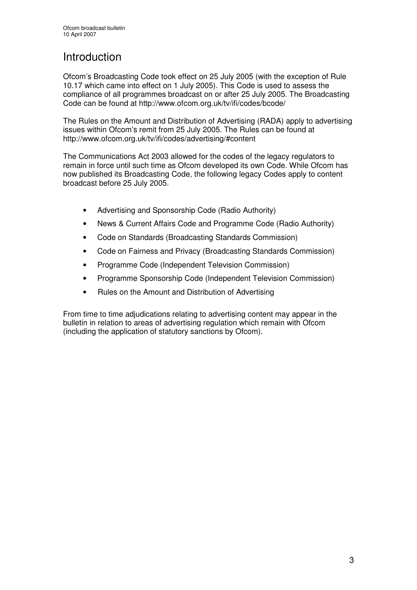# Introduction

Ofcom's Broadcasting Code took effect on 25 July 2005 (with the exception of Rule 10.17 which came into effect on 1 July 2005). This Code is used to assess the compliance of all programmes broadcast on or after 25 July 2005. The Broadcasting Code can be found at http://www.ofcom.org.uk/tv/ifi/codes/bcode/

The Rules on the Amount and Distribution of Advertising (RADA) apply to advertising issues within Ofcom's remit from 25 July 2005. The Rules can be found at http://www.ofcom.org.uk/tv/ifi/codes/advertising/#content

The Communications Act 2003 allowed for the codes of the legacy regulators to remain in force until such time as Ofcom developed its own Code. While Ofcom has now published its Broadcasting Code, the following legacy Codes apply to content broadcast before 25 July 2005.

- Advertising and Sponsorship Code (Radio Authority)
- News & Current Affairs Code and Programme Code (Radio Authority)
- Code on Standards (Broadcasting Standards Commission)
- Code on Fairness and Privacy (Broadcasting Standards Commission)
- Programme Code (Independent Television Commission)
- Programme Sponsorship Code (Independent Television Commission)
- Rules on the Amount and Distribution of Advertising

From time to time adjudications relating to advertising content may appear in the bulletin in relation to areas of advertising regulation which remain with Ofcom (including the application of statutory sanctions by Ofcom).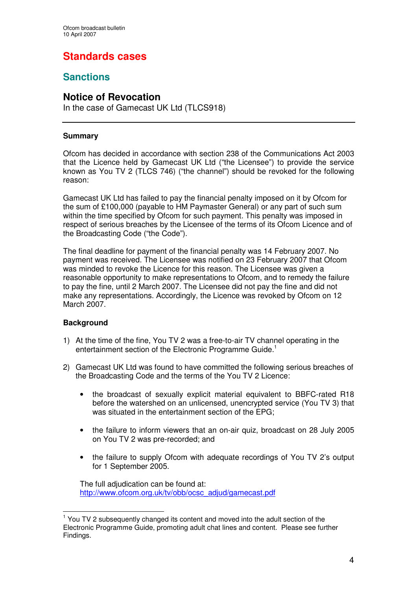## **Standards cases**

## **Sanctions**

### **Notice of Revocation**

In the case of Gamecast UK Ltd (TLCS918)

#### **Summary**

Ofcom has decided in accordance with section 238 of the Communications Act 2003 that the Licence held by Gamecast UK Ltd ("the Licensee") to provide the service known as You TV 2 (TLCS 746) ("the channel") should be revoked for the following reason:

Gamecast UK Ltd has failed to pay the financial penalty imposed on it by Ofcom for the sum of £100,000 (payable to HM Paymaster General) or any part of such sum within the time specified by Ofcom for such payment. This penalty was imposed in respect of serious breaches by the Licensee of the terms of its Ofcom Licence and of the Broadcasting Code ("the Code").

The final deadline for payment of the financial penalty was 14 February 2007. No payment was received. The Licensee was notified on 23 February 2007 that Ofcom was minded to revoke the Licence for this reason. The Licensee was given a reasonable opportunity to make representations to Ofcom, and to remedy the failure to pay the fine, until 2 March 2007. The Licensee did not pay the fine and did not make any representations. Accordingly, the Licence was revoked by Ofcom on 12 March 2007.

#### **Background**

- 1) At the time of the fine, You TV 2 was a free-to-air TV channel operating in the entertainment section of the Electronic Programme Guide.<sup>1</sup>
- 2) Gamecast UK Ltd was found to have committed the following serious breaches of the Broadcasting Code and the terms of the You TV 2 Licence:
	- the broadcast of sexually explicit material equivalent to BBFC-rated R18 before the watershed on an unlicensed, unencrypted service (You TV 3) that was situated in the entertainment section of the EPG;
	- the failure to inform viewers that an on-air quiz, broadcast on 28 July 2005 on You TV 2 was pre-recorded; and
	- the failure to supply Ofcom with adequate recordings of You TV 2's output for 1 September 2005.

The full adjudication can be found at: http://www.ofcom.org.uk/tv/obb/ocsc\_adjud/gamecast.pdf

<sup>&</sup>lt;sup>1</sup> You TV 2 subsequently changed its content and moved into the adult section of the Electronic Programme Guide, promoting adult chat lines and content. Please see further Findings.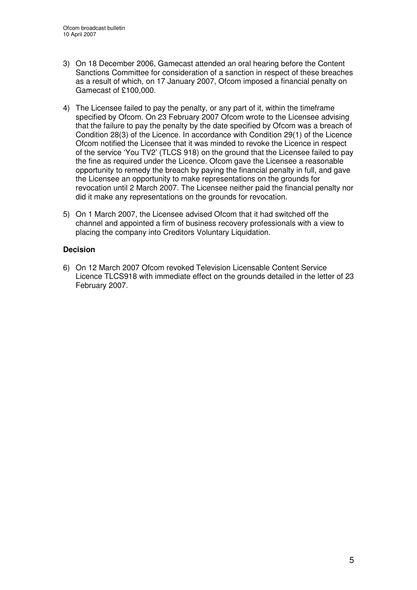- 3) On 18 December 2006, Gamecast attended an oral hearing before the Content Sanctions Committee for consideration of a sanction in respect of these breaches as a result of which, on 17 January 2007, Ofcom imposed a financial penalty on Gamecast of £100,000.
- 4) The Licensee failed to pay the penalty, or any part of it, within the timeframe specified by Ofcom. On 23 February 2007 Ofcom wrote to the Licensee advising that the failure to pay the penalty by the date specified by Ofcom was a breach of Condition 28(3) of the Licence. In accordance with Condition 29(1) of the Licence Ofcom notified the Licensee that it was minded to revoke the Licence in respect of the service 'You TV2' (TLCS 918) on the ground that the Licensee failed to pay the fine as required under the Licence. Ofcom gave the Licensee a reasonable opportunity to remedy the breach by paying the financial penalty in full, and gave the Licensee an opportunity to make representations on the grounds for revocation until 2 March 2007. The Licensee neither paid the financial penalty nor did it make any representations on the grounds for revocation.
- 5) On 1 March 2007, the Licensee advised Ofcom that it had switched off the channel and appointed a firm of business recovery professionals with a view to placing the company into Creditors Voluntary Liquidation.

#### **Decision**

6) On 12 March 2007 Ofcom revoked Television Licensable Content Service Licence TLCS918 with immediate effect on the grounds detailed in the letter of 23 February 2007.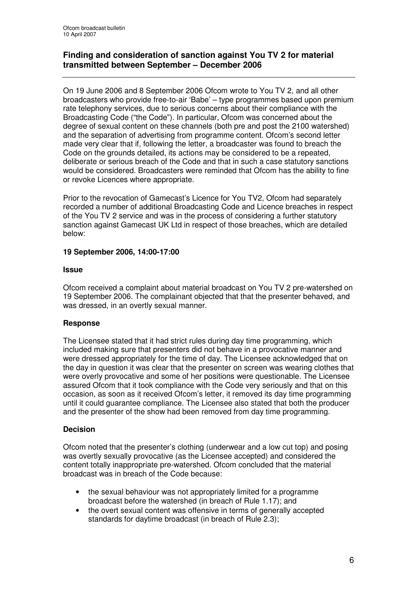#### **Finding and consideration of sanction against You TV 2 for material transmitted between September – December 2006**

On 19 June 2006 and 8 September 2006 Ofcom wrote to You TV 2, and all other broadcasters who provide free-to-air 'Babe' – type programmes based upon premium rate telephony services, due to serious concerns about their compliance with the Broadcasting Code ("the Code"). In particular, Ofcom was concerned about the degree of sexual content on these channels (both pre and post the 2100 watershed) and the separation of advertising from programme content. Ofcom's second letter made very clear that if, following the letter, a broadcaster was found to breach the Code on the grounds detailed, its actions may be considered to be a repeated, deliberate or serious breach of the Code and that in such a case statutory sanctions would be considered. Broadcasters were reminded that Ofcom has the ability to fine or revoke Licences where appropriate.

Prior to the revocation of Gamecast's Licence for You TV2, Ofcom had separately recorded a number of additional Broadcasting Code and Licence breaches in respect of the You TV 2 service and was in the process of considering a further statutory sanction against Gamecast UK Ltd in respect of those breaches, which are detailed below:

#### **19 September 2006, 14:00-17:00**

#### **Issue**

Ofcom received a complaint about material broadcast on You TV 2 pre-watershed on 19 September 2006. The complainant objected that that the presenter behaved, and was dressed, in an overtly sexual manner.

#### **Response**

The Licensee stated that it had strict rules during day time programming, which included making sure that presenters did not behave in a provocative manner and were dressed appropriately for the time of day. The Licensee acknowledged that on the day in question it was clear that the presenter on screen was wearing clothes that were overly provocative and some of her positions were questionable. The Licensee assured Ofcom that it took compliance with the Code very seriously and that on this occasion, as soon as it received Ofcom's letter, it removed its day time programming until it could guarantee compliance. The Licensee also stated that both the producer and the presenter of the show had been removed from day time programming.

#### **Decision**

Ofcom noted that the presenter's clothing (underwear and a low cut top) and posing was overtly sexually provocative (as the Licensee accepted) and considered the content totally inappropriate pre-watershed. Ofcom concluded that the material broadcast was in breach of the Code because:

- the sexual behaviour was not appropriately limited for a programme broadcast before the watershed (in breach of Rule 1.17); and
- the overt sexual content was offensive in terms of generally accepted standards for daytime broadcast (in breach of Rule 2.3);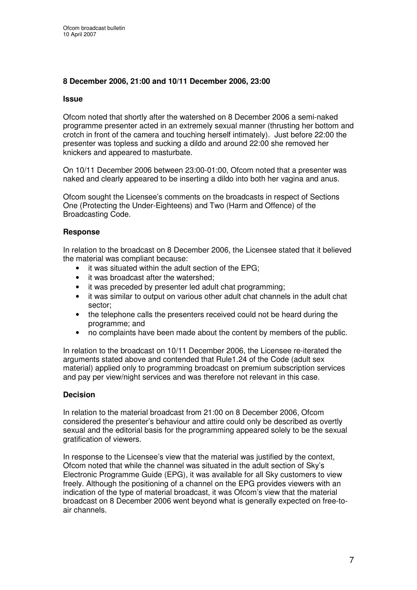#### **8 December 2006, 21:00 and 10/11 December 2006, 23:00**

#### **Issue**

Ofcom noted that shortly after the watershed on 8 December 2006 a semi-naked programme presenter acted in an extremely sexual manner (thrusting her bottom and crotch in front of the camera and touching herself intimately). Just before 22:00 the presenter was topless and sucking a dildo and around 22:00 she removed her knickers and appeared to masturbate.

On 10/11 December 2006 between 23:00-01:00, Ofcom noted that a presenter was naked and clearly appeared to be inserting a dildo into both her vagina and anus.

Ofcom sought the Licensee's comments on the broadcasts in respect of Sections One (Protecting the Under-Eighteens) and Two (Harm and Offence) of the Broadcasting Code.

#### **Response**

In relation to the broadcast on 8 December 2006, the Licensee stated that it believed the material was compliant because:

- it was situated within the adult section of the EPG;
- it was broadcast after the watershed;
- it was preceded by presenter led adult chat programming;
- it was similar to output on various other adult chat channels in the adult chat sector;
- the telephone calls the presenters received could not be heard during the programme; and
- no complaints have been made about the content by members of the public.

In relation to the broadcast on 10/11 December 2006, the Licensee re-iterated the arguments stated above and contended that Rule1.24 of the Code (adult sex material) applied only to programming broadcast on premium subscription services and pay per view/night services and was therefore not relevant in this case.

#### **Decision**

In relation to the material broadcast from 21:00 on 8 December 2006, Ofcom considered the presenter's behaviour and attire could only be described as overtly sexual and the editorial basis for the programming appeared solely to be the sexual gratification of viewers.

In response to the Licensee's view that the material was justified by the context, Ofcom noted that while the channel was situated in the adult section of Sky's Electronic Programme Guide (EPG), it was available for all Sky customers to view freely. Although the positioning of a channel on the EPG provides viewers with an indication of the type of material broadcast, it was Ofcom's view that the material broadcast on 8 December 2006 went beyond what is generally expected on free-toair channels.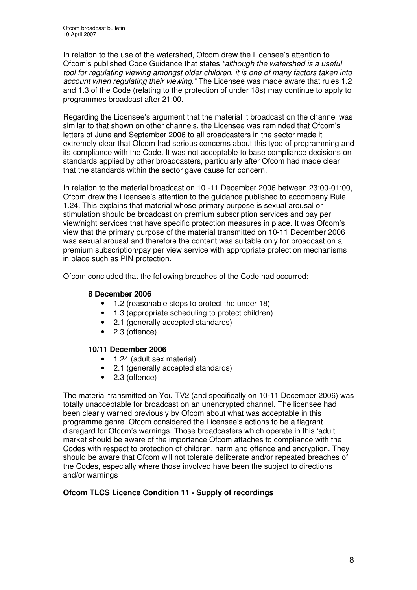In relation to the use of the watershed, Ofcom drew the Licensee's attention to Ofcom's published Code Guidance that states *"although the watershed is a useful tool for regulating viewing amongst older children, it is one of many factors taken into account when regulating their viewing."* The Licensee was made aware that rules 1.2 and 1.3 of the Code (relating to the protection of under 18s) may continue to apply to programmes broadcast after 21:00.

Regarding the Licensee's argument that the material it broadcast on the channel was similar to that shown on other channels, the Licensee was reminded that Ofcom's letters of June and September 2006 to all broadcasters in the sector made it extremely clear that Ofcom had serious concerns about this type of programming and its compliance with the Code. It was not acceptable to base compliance decisions on standards applied by other broadcasters, particularly after Ofcom had made clear that the standards within the sector gave cause for concern.

In relation to the material broadcast on 10 -11 December 2006 between 23:00-01:00, Ofcom drew the Licensee's attention to the guidance published to accompany Rule 1.24. This explains that material whose primary purpose is sexual arousal or stimulation should be broadcast on premium subscription services and pay per view/night services that have specific protection measures in place. It was Ofcom's view that the primary purpose of the material transmitted on 10-11 December 2006 was sexual arousal and therefore the content was suitable only for broadcast on a premium subscription/pay per view service with appropriate protection mechanisms in place such as PIN protection.

Ofcom concluded that the following breaches of the Code had occurred:

#### **8 December 2006**

- 1.2 (reasonable steps to protect the under 18)
- 1.3 (appropriate scheduling to protect children)
- 2.1 (generally accepted standards)
- 2.3 (offence)

#### **10/11 December 2006**

- 1.24 (adult sex material)
- 2.1 (generally accepted standards)
- 2.3 (offence)

The material transmitted on You TV2 (and specifically on 10-11 December 2006) was totally unacceptable for broadcast on an unencrypted channel. The licensee had been clearly warned previously by Ofcom about what was acceptable in this programme genre. Ofcom considered the Licensee's actions to be a flagrant disregard for Ofcom's warnings. Those broadcasters which operate in this 'adult' market should be aware of the importance Ofcom attaches to compliance with the Codes with respect to protection of children, harm and offence and encryption. They should be aware that Ofcom will not tolerate deliberate and/or repeated breaches of the Codes, especially where those involved have been the subject to directions and/or warnings

#### **Ofcom TLCS Licence Condition 11 - Supply of recordings**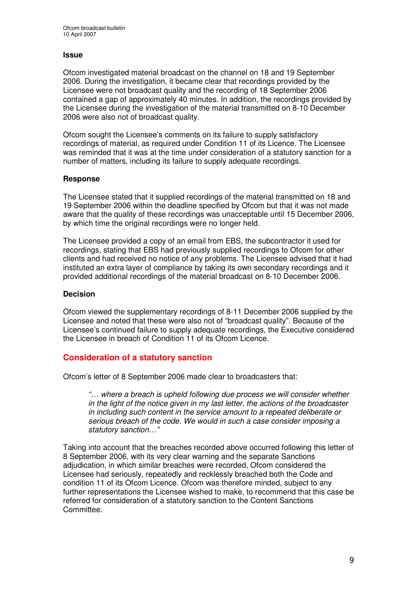#### **Issue**

Ofcom investigated material broadcast on the channel on 18 and 19 September 2006. During the investigation, it became clear that recordings provided by the Licensee were not broadcast quality and the recording of 18 September 2006 contained a gap of approximately 40 minutes. In addition, the recordings provided by the Licensee during the investigation of the material transmitted on 8-10 December 2006 were also not of broadcast quality.

Ofcom sought the Licensee's comments on its failure to supply satisfactory recordings of material, as required under Condition 11 of its Licence. The Licensee was reminded that it was at the time under consideration of a statutory sanction for a number of matters, including its failure to supply adequate recordings.

#### **Response**

The Licensee stated that it supplied recordings of the material transmitted on 18 and 19 September 2006 within the deadline specified by Ofcom but that it was not made aware that the quality of these recordings was unacceptable until 15 December 2006, by which time the original recordings were no longer held.

The Licensee provided a copy of an email from EBS, the subcontractor it used for recordings, stating that EBS had previously supplied recordings to Ofcom for other clients and had received no notice of any problems. The Licensee advised that it had instituted an extra layer of compliance by taking its own secondary recordings and it provided additional recordings of the material broadcast on 8-10 December 2006.

#### **Decision**

Ofcom viewed the supplementary recordings of 8-11 December 2006 supplied by the Licensee and noted that these were also not of "broadcast quality". Because of the Licensee's continued failure to supply adequate recordings, the Executive considered the Licensee in breach of Condition 11 of its Ofcom Licence.

#### **Consideration of a statutory sanction**

Ofcom's letter of 8 September 2006 made clear to broadcasters that:

*"… where a breach is upheld following due process we will consider whether in the light of the notice given in my last letter, the actions of the broadcaster in including such content in the service amount to a repeated deliberate or serious breach of the code. We would in such a case consider imposing a statutory sanction…"*

Taking into account that the breaches recorded above occurred following this letter of 8 September 2006, with its very clear warning and the separate Sanctions adjudication, in which similar breaches were recorded, Ofcom considered the Licensee had seriously, repeatedly and recklessly breached both the Code and condition 11 of its Ofcom Licence. Ofcom was therefore minded, subject to any further representations the Licensee wished to make, to recommend that this case be referred for consideration of a statutory sanction to the Content Sanctions Committee.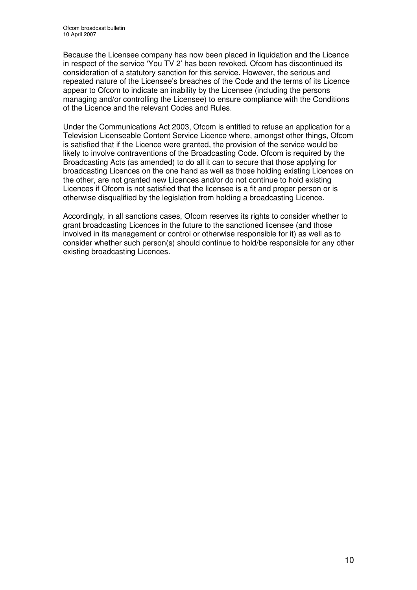Because the Licensee company has now been placed in liquidation and the Licence in respect of the service 'You TV 2' has been revoked, Ofcom has discontinued its consideration of a statutory sanction for this service. However, the serious and repeated nature of the Licensee's breaches of the Code and the terms of its Licence appear to Ofcom to indicate an inability by the Licensee (including the persons managing and/or controlling the Licensee) to ensure compliance with the Conditions of the Licence and the relevant Codes and Rules.

Under the Communications Act 2003, Ofcom is entitled to refuse an application for a Television Licenseable Content Service Licence where, amongst other things, Ofcom is satisfied that if the Licence were granted, the provision of the service would be likely to involve contraventions of the Broadcasting Code. Ofcom is required by the Broadcasting Acts (as amended) to do all it can to secure that those applying for broadcasting Licences on the one hand as well as those holding existing Licences on the other, are not granted new Licences and/or do not continue to hold existing Licences if Ofcom is not satisfied that the licensee is a fit and proper person or is otherwise disqualified by the legislation from holding a broadcasting Licence.

Accordingly, in all sanctions cases, Ofcom reserves its rights to consider whether to grant broadcasting Licences in the future to the sanctioned licensee (and those involved in its management or control or otherwise responsible for it) as well as to consider whether such person(s) should continue to hold/be responsible for any other existing broadcasting Licences.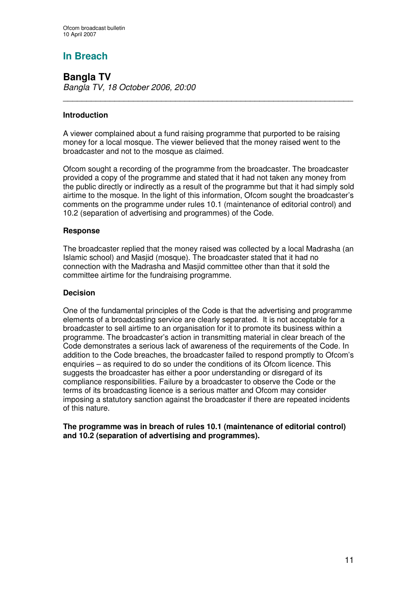## **In Breach**

**Bangla TV** *Bangla TV, 18 October 2006, 20:00*

#### **Introduction**

A viewer complained about a fund raising programme that purported to be raising money for a local mosque. The viewer believed that the money raised went to the broadcaster and not to the mosque as claimed.

\_\_\_\_\_\_\_\_\_\_\_\_\_\_\_\_\_\_\_\_\_\_\_\_\_\_\_\_\_\_\_\_\_\_\_\_\_\_\_\_\_\_\_\_\_\_\_\_\_\_\_\_\_\_\_\_\_\_\_\_\_\_

Ofcom sought a recording of the programme from the broadcaster. The broadcaster provided a copy of the programme and stated that it had not taken any money from the public directly or indirectly as a result of the programme but that it had simply sold airtime to the mosque. In the light of this information, Ofcom sought the broadcaster's comments on the programme under rules 10.1 (maintenance of editorial control) and 10.2 (separation of advertising and programmes) of the Code.

#### **Response**

The broadcaster replied that the money raised was collected by a local Madrasha (an Islamic school) and Masjid (mosque). The broadcaster stated that it had no connection with the Madrasha and Masjid committee other than that it sold the committee airtime for the fundraising programme.

#### **Decision**

One of the fundamental principles of the Code is that the advertising and programme elements of a broadcasting service are clearly separated. It is not acceptable for a broadcaster to sell airtime to an organisation for it to promote its business within a programme. The broadcaster's action in transmitting material in clear breach of the Code demonstrates a serious lack of awareness of the requirements of the Code. In addition to the Code breaches, the broadcaster failed to respond promptly to Ofcom's enquiries – as required to do so under the conditions of its Ofcom licence. This suggests the broadcaster has either a poor understanding or disregard of its compliance responsibilities. Failure by a broadcaster to observe the Code or the terms of its broadcasting licence is a serious matter and Ofcom may consider imposing a statutory sanction against the broadcaster if there are repeated incidents of this nature.

**The programme was in breach of rules 10.1 (maintenance of editorial control) and 10.2 (separation of advertising and programmes).**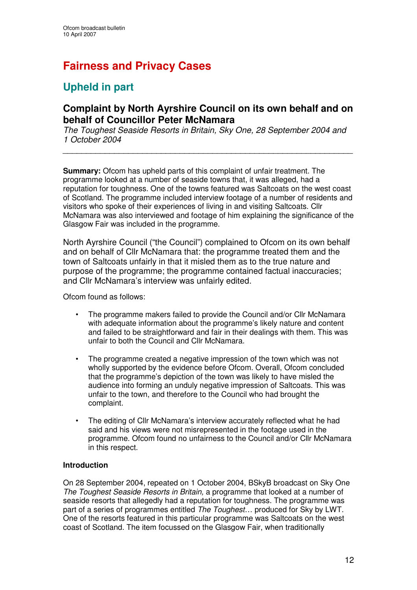# **Fairness and Privacy Cases**

## **Upheld in part**

## **Complaint by North Ayrshire Council on its own behalf and on behalf of Councillor Peter McNamara**

*The Toughest Seaside Resorts in Britain, Sky One, 28 September 2004 and 1 October 2004*

*\_\_\_\_\_\_\_\_\_\_\_\_\_\_\_\_\_\_\_\_\_\_\_\_\_\_\_\_\_\_\_\_\_\_\_\_\_\_\_\_\_\_\_\_\_\_\_\_\_\_\_\_\_\_\_\_\_\_\_\_\_\_*

**Summary:** Ofcom has upheld parts of this complaint of unfair treatment. The programme looked at a number of seaside towns that, it was alleged, had a reputation for toughness. One of the towns featured was Saltcoats on the west coast of Scotland. The programme included interview footage of a number of residents and visitors who spoke of their experiences of living in and visiting Saltcoats. Cllr McNamara was also interviewed and footage of him explaining the significance of the Glasgow Fair was included in the programme.

North Ayrshire Council ("the Council") complained to Ofcom on its own behalf and on behalf of Cllr McNamara that: the programme treated them and the town of Saltcoats unfairly in that it misled them as to the true nature and purpose of the programme; the programme contained factual inaccuracies; and Cllr McNamara's interview was unfairly edited.

Ofcom found as follows:

- The programme makers failed to provide the Council and/or Cllr McNamara with adequate information about the programme's likely nature and content and failed to be straightforward and fair in their dealings with them. This was unfair to both the Council and Cllr McNamara.
- The programme created a negative impression of the town which was not wholly supported by the evidence before Ofcom. Overall, Ofcom concluded that the programme's depiction of the town was likely to have misled the audience into forming an unduly negative impression of Saltcoats. This was unfair to the town, and therefore to the Council who had brought the complaint.
- The editing of Cllr McNamara's interview accurately reflected what he had said and his views were not misrepresented in the footage used in the programme. Ofcom found no unfairness to the Council and/or Cllr McNamara in this respect.

#### **Introduction**

On 28 September 2004, repeated on 1 October 2004, BSkyB broadcast on Sky One *The Toughest Seaside Resorts in Britain,* a programme that looked at a number of seaside resorts that allegedly had a reputation for toughness. The programme was part of a series of programmes entitled *The Toughest*… produced for Sky by LWT. One of the resorts featured in this particular programme was Saltcoats on the west coast of Scotland. The item focussed on the Glasgow Fair, when traditionally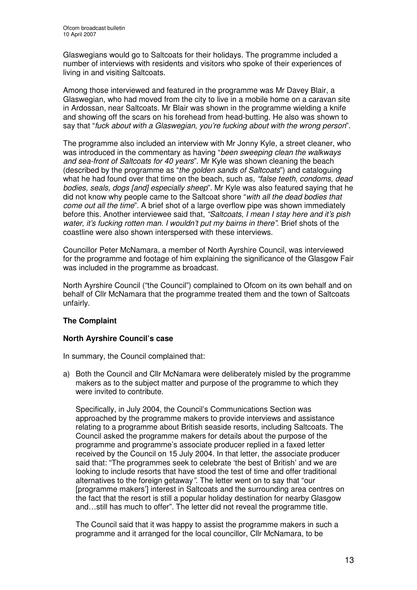Glaswegians would go to Saltcoats for their holidays. The programme included a number of interviews with residents and visitors who spoke of their experiences of living in and visiting Saltcoats.

Among those interviewed and featured in the programme was Mr Davey Blair, a Glaswegian, who had moved from the city to live in a mobile home on a caravan site in Ardossan, near Saltcoats. Mr Blair was shown in the programme wielding a knife and showing off the scars on his forehead from head-butting. He also was shown to say that "*fuck about with a Glaswegian, you're fucking about with the wrong person*".

The programme also included an interview with Mr Jonny Kyle, a street cleaner, who was introduced in the commentary as having "*been sweeping clean the walkways and sea-front of Saltcoats for 40 years*". Mr Kyle was shown cleaning the beach (described by the programme as "*the golden sands of Saltcoats*") and cataloguing what he had found over that time on the beach, such as, *"false teeth, condoms, dead bodies, seals, dogs [and] especially sheep*". Mr Kyle was also featured saying that he did not know why people came to the Saltcoat shore "*with all the dead bodies that come out all the time*". A brief shot of a large overflow pipe was shown immediately before this. Another interviewee said that, *"Saltcoats, I mean I stay here and it's pish water, it's fucking rotten man. I wouldn't put my bairns in there"*. Brief shots of the coastline were also shown interspersed with these interviews.

Councillor Peter McNamara, a member of North Ayrshire Council, was interviewed for the programme and footage of him explaining the significance of the Glasgow Fair was included in the programme as broadcast.

North Ayrshire Council ("the Council") complained to Ofcom on its own behalf and on behalf of Cllr McNamara that the programme treated them and the town of Saltcoats unfairly.

#### **The Complaint**

#### **North Ayrshire Council's case**

In summary, the Council complained that:

a) Both the Council and Cllr McNamara were deliberately misled by the programme makers as to the subject matter and purpose of the programme to which they were invited to contribute.

Specifically, in July 2004, the Council's Communications Section was approached by the programme makers to provide interviews and assistance relating to a programme about British seaside resorts, including Saltcoats. The Council asked the programme makers for details about the purpose of the programme and programme's associate producer replied in a faxed letter received by the Council on 15 July 2004. In that letter, the associate producer said that: "The programmes seek to celebrate 'the best of British' and we are looking to include resorts that have stood the test of time and offer traditional alternatives to the foreign getaway*".* The letter went on to say that "our [programme makers'] interest in Saltcoats and the surrounding area centres on the fact that the resort is still a popular holiday destination for nearby Glasgow and…still has much to offer". The letter did not reveal the programme title.

The Council said that it was happy to assist the programme makers in such a programme and it arranged for the local councillor, Cllr McNamara, to be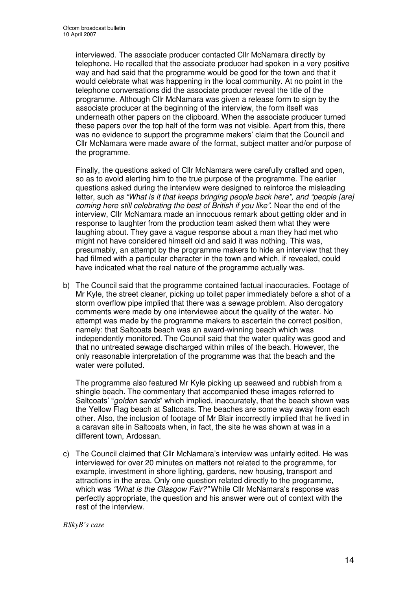interviewed. The associate producer contacted Cllr McNamara directly by telephone. He recalled that the associate producer had spoken in a very positive way and had said that the programme would be good for the town and that it would celebrate what was happening in the local community. At no point in the telephone conversations did the associate producer reveal the title of the programme. Although Cllr McNamara was given a release form to sign by the associate producer at the beginning of the interview, the form itself was underneath other papers on the clipboard. When the associate producer turned these papers over the top half of the form was not visible. Apart from this, there was no evidence to support the programme makers' claim that the Council and Cllr McNamara were made aware of the format, subject matter and/or purpose of the programme.

Finally, the questions asked of Cllr McNamara were carefully crafted and open, so as to avoid alerting him to the true purpose of the programme. The earlier questions asked during the interview were designed to reinforce the misleading letter, such *as "What is it that keeps bringing people back here", and "people [are] coming here still celebrating the best of British if you like"*. Near the end of the interview, Cllr McNamara made an innocuous remark about getting older and in response to laughter from the production team asked them what they were laughing about. They gave a vague response about a man they had met who might not have considered himself old and said it was nothing. This was, presumably, an attempt by the programme makers to hide an interview that they had filmed with a particular character in the town and which, if revealed, could have indicated what the real nature of the programme actually was.

b) The Council said that the programme contained factual inaccuracies. Footage of Mr Kyle, the street cleaner, picking up toilet paper immediately before a shot of a storm overflow pipe implied that there was a sewage problem. Also derogatory comments were made by one interviewee about the quality of the water. No attempt was made by the programme makers to ascertain the correct position, namely: that Saltcoats beach was an award-winning beach which was independently monitored. The Council said that the water quality was good and that no untreated sewage discharged within miles of the beach. However, the only reasonable interpretation of the programme was that the beach and the water were polluted.

The programme also featured Mr Kyle picking up seaweed and rubbish from a shingle beach. The commentary that accompanied these images referred to Saltcoats' "*golden sands*" which implied, inaccurately, that the beach shown was the Yellow Flag beach at Saltcoats. The beaches are some way away from each other. Also, the inclusion of footage of Mr Blair incorrectly implied that he lived in a caravan site in Saltcoats when, in fact, the site he was shown at was in a different town, Ardossan.

c) The Council claimed that Cllr McNamara's interview was unfairly edited. He was interviewed for over 20 minutes on matters not related to the programme, for example, investment in shore lighting, gardens, new housing, transport and attractions in the area. Only one question related directly to the programme, which was *"What is the Glasgow Fair?"* While Cllr McNamara's response was perfectly appropriate, the question and his answer were out of context with the rest of the interview.

*BSkyB's case*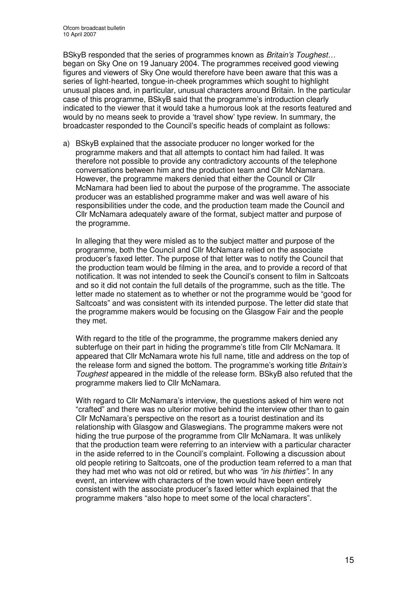BSkyB responded that the series of programmes known as *Britain's Toughest…* began on Sky One on 19 January 2004. The programmes received good viewing figures and viewers of Sky One would therefore have been aware that this was a series of light-hearted, tongue-in-cheek programmes which sought to highlight unusual places and, in particular, unusual characters around Britain. In the particular case of this programme, BSkyB said that the programme's introduction clearly indicated to the viewer that it would take a humorous look at the resorts featured and would by no means seek to provide a 'travel show' type review. In summary, the broadcaster responded to the Council's specific heads of complaint as follows:

a) BSkyB explained that the associate producer no longer worked for the programme makers and that all attempts to contact him had failed. It was therefore not possible to provide any contradictory accounts of the telephone conversations between him and the production team and Cllr McNamara. However, the programme makers denied that either the Council or Cllr McNamara had been lied to about the purpose of the programme. The associate producer was an established programme maker and was well aware of his responsibilities under the code, and the production team made the Council and Cllr McNamara adequately aware of the format, subject matter and purpose of the programme.

In alleging that they were misled as to the subject matter and purpose of the programme, both the Council and Cllr McNamara relied on the associate producer's faxed letter. The purpose of that letter was to notify the Council that the production team would be filming in the area, and to provide a record of that notification. It was not intended to seek the Council's consent to film in Saltcoats and so it did not contain the full details of the programme, such as the title. The letter made no statement as to whether or not the programme would be "good for Saltcoats" and was consistent with its intended purpose. The letter did state that the programme makers would be focusing on the Glasgow Fair and the people they met.

With regard to the title of the programme, the programme makers denied any subterfuge on their part in hiding the programme's title from Cllr McNamara. It appeared that Cllr McNamara wrote his full name, title and address on the top of the release form and signed the bottom. The programme's working title *Britain's Toughest* appeared in the middle of the release form. BSkyB also refuted that the programme makers lied to Cllr McNamara.

With regard to Cllr McNamara's interview, the questions asked of him were not "crafted" and there was no ulterior motive behind the interview other than to gain Cllr McNamara's perspective on the resort as a tourist destination and its relationship with Glasgow and Glaswegians. The programme makers were not hiding the true purpose of the programme from Cllr McNamara. It was unlikely that the production team were referring to an interview with a particular character in the aside referred to in the Council's complaint. Following a discussion about old people retiring to Saltcoats, one of the production team referred to a man that they had met who was not old or retired, but who was *"in his thirties".* In any event, an interview with characters of the town would have been entirely consistent with the associate producer's faxed letter which explained that the programme makers "also hope to meet some of the local characters".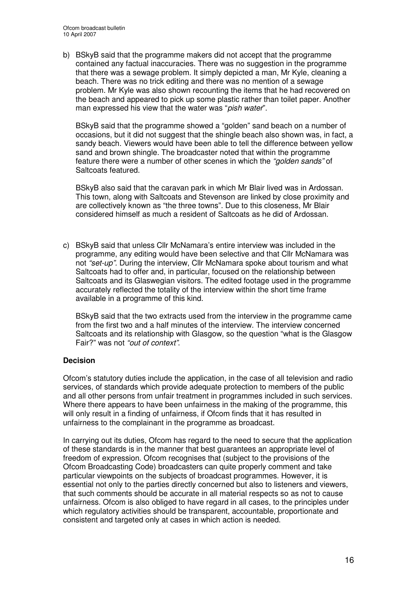b) BSkyB said that the programme makers did not accept that the programme contained any factual inaccuracies. There was no suggestion in the programme that there was a sewage problem. It simply depicted a man, Mr Kyle, cleaning a beach. There was no trick editing and there was no mention of a sewage problem. Mr Kyle was also shown recounting the items that he had recovered on the beach and appeared to pick up some plastic rather than toilet paper. Another man expressed his view that the water was "*pish water*".

BSkyB said that the programme showed a "golden" sand beach on a number of occasions, but it did not suggest that the shingle beach also shown was, in fact, a sandy beach. Viewers would have been able to tell the difference between yellow sand and brown shingle. The broadcaster noted that within the programme feature there were a number of other scenes in which the *"golden sands"* of Saltcoats featured.

BSkyB also said that the caravan park in which Mr Blair lived was in Ardossan. This town, along with Saltcoats and Stevenson are linked by close proximity and are collectively known as "the three towns". Due to this closeness, Mr Blair considered himself as much a resident of Saltcoats as he did of Ardossan.

c) BSkyB said that unless Cllr McNamara's entire interview was included in the programme, any editing would have been selective and that Cllr McNamara was not *"set-up".* During the interview, Cllr McNamara spoke about tourism and what Saltcoats had to offer and, in particular, focused on the relationship between Saltcoats and its Glaswegian visitors. The edited footage used in the programme accurately reflected the totality of the interview within the short time frame available in a programme of this kind.

BSkyB said that the two extracts used from the interview in the programme came from the first two and a half minutes of the interview. The interview concerned Saltcoats and its relationship with Glasgow, so the question "what is the Glasgow Fair?" was not *"out of context"*.

#### **Decision**

Ofcom's statutory duties include the application, in the case of all television and radio services, of standards which provide adequate protection to members of the public and all other persons from unfair treatment in programmes included in such services. Where there appears to have been unfairness in the making of the programme, this will only result in a finding of unfairness, if Ofcom finds that it has resulted in unfairness to the complainant in the programme as broadcast.

In carrying out its duties, Ofcom has regard to the need to secure that the application of these standards is in the manner that best guarantees an appropriate level of freedom of expression. Ofcom recognises that (subject to the provisions of the Ofcom Broadcasting Code) broadcasters can quite properly comment and take particular viewpoints on the subjects of broadcast programmes. However, it is essential not only to the parties directly concerned but also to listeners and viewers, that such comments should be accurate in all material respects so as not to cause unfairness. Ofcom is also obliged to have regard in all cases, to the principles under which regulatory activities should be transparent, accountable, proportionate and consistent and targeted only at cases in which action is needed.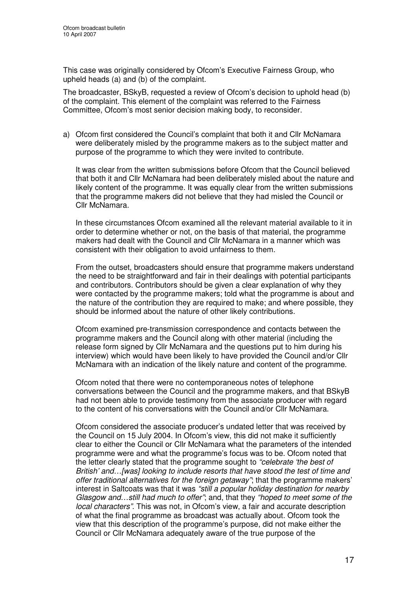This case was originally considered by Ofcom's Executive Fairness Group, who upheld heads (a) and (b) of the complaint.

The broadcaster, BSkyB, requested a review of Ofcom's decision to uphold head (b) of the complaint. This element of the complaint was referred to the Fairness Committee, Ofcom's most senior decision making body, to reconsider.

a) Ofcom first considered the Council's complaint that both it and Cllr McNamara were deliberately misled by the programme makers as to the subject matter and purpose of the programme to which they were invited to contribute.

It was clear from the written submissions before Ofcom that the Council believed that both it and Cllr McNamara had been deliberately misled about the nature and likely content of the programme. It was equally clear from the written submissions that the programme makers did not believe that they had misled the Council or Cllr McNamara.

In these circumstances Ofcom examined all the relevant material available to it in order to determine whether or not, on the basis of that material, the programme makers had dealt with the Council and Cllr McNamara in a manner which was consistent with their obligation to avoid unfairness to them.

From the outset, broadcasters should ensure that programme makers understand the need to be straightforward and fair in their dealings with potential participants and contributors. Contributors should be given a clear explanation of why they were contacted by the programme makers; told what the programme is about and the nature of the contribution they are required to make; and where possible, they should be informed about the nature of other likely contributions.

Ofcom examined pre-transmission correspondence and contacts between the programme makers and the Council along with other material (including the release form signed by Cllr McNamara and the questions put to him during his interview) which would have been likely to have provided the Council and/or Cllr McNamara with an indication of the likely nature and content of the programme.

Ofcom noted that there were no contemporaneous notes of telephone conversations between the Council and the programme makers, and that BSkyB had not been able to provide testimony from the associate producer with regard to the content of his conversations with the Council and/or Cllr McNamara.

Ofcom considered the associate producer's undated letter that was received by the Council on 15 July 2004. In Ofcom's view, this did not make it sufficiently clear to either the Council or Cllr McNamara what the parameters of the intended programme were and what the programme's focus was to be. Ofcom noted that the letter clearly stated that the programme sought to *"celebrate 'the best of British' and…[was] looking to include resorts that have stood the test of time and offer traditional alternatives for the foreign getaway"*; that the programme makers' interest in Saltcoats was that it was *"still a popular holiday destination for nearby Glasgow and…still had much to offer"*; and, that they *"hoped to meet some of the local characters"*. This was not, in Ofcom's view, a fair and accurate description of what the final programme as broadcast was actually about. Ofcom took the view that this description of the programme's purpose, did not make either the Council or Cllr McNamara adequately aware of the true purpose of the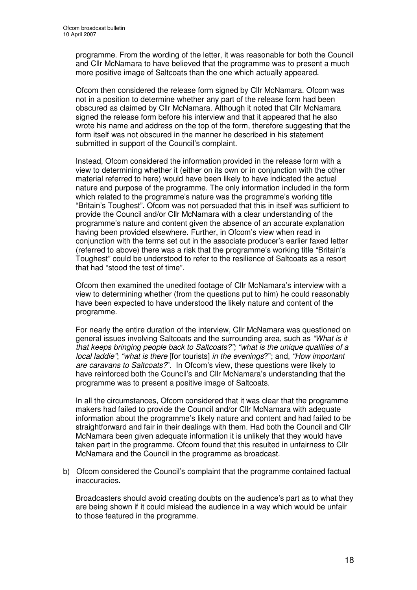programme. From the wording of the letter, it was reasonable for both the Council and Cllr McNamara to have believed that the programme was to present a much more positive image of Saltcoats than the one which actually appeared.

Ofcom then considered the release form signed by Cllr McNamara. Ofcom was not in a position to determine whether any part of the release form had been obscured as claimed by Cllr McNamara. Although it noted that Cllr McNamara signed the release form before his interview and that it appeared that he also wrote his name and address on the top of the form, therefore suggesting that the form itself was not obscured in the manner he described in his statement submitted in support of the Council's complaint.

Instead, Ofcom considered the information provided in the release form with a view to determining whether it (either on its own or in conjunction with the other material referred to here) would have been likely to have indicated the actual nature and purpose of the programme. The only information included in the form which related to the programme's nature was the programme's working title "Britain's Toughest". Ofcom was not persuaded that this in itself was sufficient to provide the Council and/or Cllr McNamara with a clear understanding of the programme's nature and content given the absence of an accurate explanation having been provided elsewhere. Further, in Ofcom's view when read in conjunction with the terms set out in the associate producer's earlier faxed letter (referred to above) there was a risk that the programme's working title "Britain's Toughest" could be understood to refer to the resilience of Saltcoats as a resort that had "stood the test of time".

Ofcom then examined the unedited footage of Cllr McNamara's interview with a view to determining whether (from the questions put to him) he could reasonably have been expected to have understood the likely nature and content of the programme.

For nearly the entire duration of the interview, Cllr McNamara was questioned on general issues involving Saltcoats and the surrounding area, such as *"What is it that keeps bringing people back to Saltcoats?"; "what is the unique qualities of a local laddie"*; *"what is there* [for tourists] *in the evenings*?"; and, *"How important are caravans to Saltcoats?*". In Ofcom's view, these questions were likely to have reinforced both the Council's and Cllr McNamara's understanding that the programme was to present a positive image of Saltcoats.

In all the circumstances, Ofcom considered that it was clear that the programme makers had failed to provide the Council and/or Cllr McNamara with adequate information about the programme's likely nature and content and had failed to be straightforward and fair in their dealings with them. Had both the Council and Cllr McNamara been given adequate information it is unlikely that they would have taken part in the programme. Ofcom found that this resulted in unfairness to Cllr McNamara and the Council in the programme as broadcast.

b) Ofcom considered the Council's complaint that the programme contained factual **inaccuracies** 

Broadcasters should avoid creating doubts on the audience's part as to what they are being shown if it could mislead the audience in a way which would be unfair to those featured in the programme.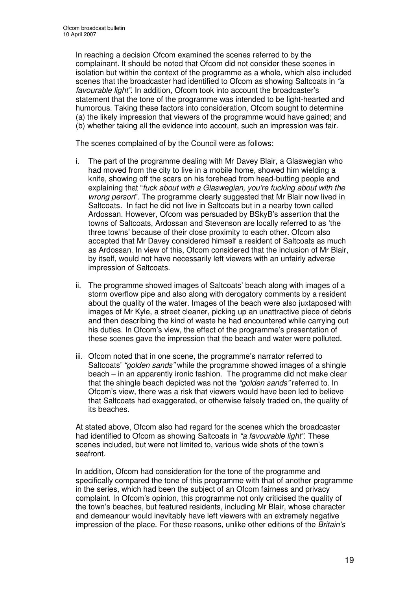In reaching a decision Ofcom examined the scenes referred to by the complainant. It should be noted that Ofcom did not consider these scenes in isolation but within the context of the programme as a whole, which also included scenes that the broadcaster had identified to Ofcom as showing Saltcoats in *"a favourable light"*. In addition, Ofcom took into account the broadcaster's statement that the tone of the programme was intended to be light-hearted and humorous. Taking these factors into consideration, Ofcom sought to determine (a) the likely impression that viewers of the programme would have gained; and (b) whether taking all the evidence into account, such an impression was fair.

The scenes complained of by the Council were as follows:

- i. The part of the programme dealing with Mr Davey Blair, a Glaswegian who had moved from the city to live in a mobile home, showed him wielding a knife, showing off the scars on his forehead from head-butting people and explaining that "*fuck about with a Glaswegian, you're fucking about with the wrong person*". The programme clearly suggested that Mr Blair now lived in Saltcoats. In fact he did not live in Saltcoats but in a nearby town called Ardossan. However, Ofcom was persuaded by BSkyB's assertion that the towns of Saltcoats, Ardossan and Stevenson are locally referred to as 'the three towns' because of their close proximity to each other. Ofcom also accepted that Mr Davey considered himself a resident of Saltcoats as much as Ardossan. In view of this, Ofcom considered that the inclusion of Mr Blair, by itself, would not have necessarily left viewers with an unfairly adverse impression of Saltcoats.
- ii. The programme showed images of Saltcoats' beach along with images of a storm overflow pipe and also along with derogatory comments by a resident about the quality of the water. Images of the beach were also juxtaposed with images of Mr Kyle, a street cleaner, picking up an unattractive piece of debris and then describing the kind of waste he had encountered while carrying out his duties. In Ofcom's view, the effect of the programme's presentation of these scenes gave the impression that the beach and water were polluted.
- iii. Ofcom noted that in one scene, the programme's narrator referred to Saltcoats' *"golden sands"* while the programme showed images of a shingle beach – in an apparently ironic fashion. The programme did not make clear that the shingle beach depicted was not the *"golden sands"* referred to. In Ofcom's view, there was a risk that viewers would have been led to believe that Saltcoats had exaggerated, or otherwise falsely traded on, the quality of its beaches.

At stated above, Ofcom also had regard for the scenes which the broadcaster had identified to Ofcom as showing Saltcoats in *"a favourable light"*. These scenes included, but were not limited to, various wide shots of the town's seafront.

In addition, Ofcom had consideration for the tone of the programme and specifically compared the tone of this programme with that of another programme in the series*,* which had been the subject of an Ofcom fairness and privacy complaint. In Ofcom's opinion, this programme not only criticised the quality of the town's beaches, but featured residents, including Mr Blair, whose character and demeanour would inevitably have left viewers with an extremely negative impression of the place. For these reasons, unlike other editions of the *Britain's*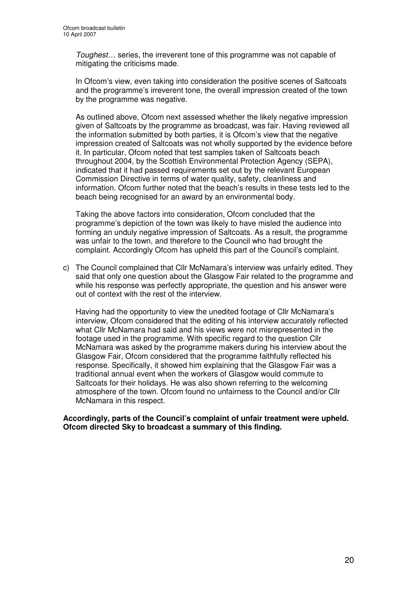*Toughest…* series, the irreverent tone of this programme was not capable of mitigating the criticisms made.

In Ofcom's view, even taking into consideration the positive scenes of Saltcoats and the programme's irreverent tone, the overall impression created of the town by the programme was negative.

As outlined above, Ofcom next assessed whether the likely negative impression given of Saltcoats by the programme as broadcast, was fair. Having reviewed all the information submitted by both parties, it is Ofcom's view that the negative impression created of Saltcoats was not wholly supported by the evidence before it. In particular, Ofcom noted that test samples taken of Saltcoats beach throughout 2004, by the Scottish Environmental Protection Agency (SEPA), indicated that it had passed requirements set out by the relevant European Commission Directive in terms of water quality, safety, cleanliness and information. Ofcom further noted that the beach's results in these tests led to the beach being recognised for an award by an environmental body.

Taking the above factors into consideration, Ofcom concluded that the programme's depiction of the town was likely to have misled the audience into forming an unduly negative impression of Saltcoats. As a result, the programme was unfair to the town, and therefore to the Council who had brought the complaint. Accordingly Ofcom has upheld this part of the Council's complaint.

c) The Council complained that Cllr McNamara's interview was unfairly edited. They said that only one question about the Glasgow Fair related to the programme and while his response was perfectly appropriate, the question and his answer were out of context with the rest of the interview.

Having had the opportunity to view the unedited footage of Cllr McNamara's interview, Ofcom considered that the editing of his interview accurately reflected what Cllr McNamara had said and his views were not misrepresented in the footage used in the programme. With specific regard to the question Cllr McNamara was asked by the programme makers during his interview about the Glasgow Fair, Ofcom considered that the programme faithfully reflected his response. Specifically, it showed him explaining that the Glasgow Fair was a traditional annual event when the workers of Glasgow would commute to Saltcoats for their holidays. He was also shown referring to the welcoming atmosphere of the town. Ofcom found no unfairness to the Council and/or Cllr McNamara in this respect.

#### **Accordingly, parts of the Council's complaint of unfair treatment were upheld. Ofcom directed Sky to broadcast a summary of this finding.**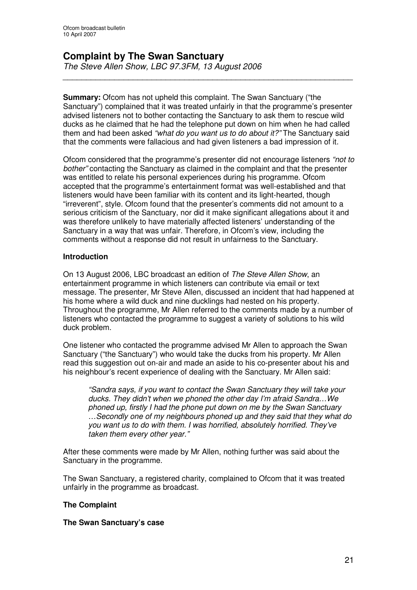#### **Complaint by The Swan Sanctuary** *The Steve Allen Show, LBC 97.3FM, 13 August 2006*

**Summary:** Ofcom has not upheld this complaint. The Swan Sanctuary ("the Sanctuary") complained that it was treated unfairly in that the programme's presenter advised listeners not to bother contacting the Sanctuary to ask them to rescue wild ducks as he claimed that he had the telephone put down on him when he had called them and had been asked *"what do you want us to do about it?"* The Sanctuary said that the comments were fallacious and had given listeners a bad impression of it.

*\_\_\_\_\_\_\_\_\_\_\_\_\_\_\_\_\_\_\_\_\_\_\_\_\_\_\_\_\_\_\_\_\_\_\_\_\_\_\_\_\_\_\_\_\_\_\_\_\_\_\_\_\_\_\_\_\_\_\_\_\_\_*

Ofcom considered that the programme's presenter did not encourage listeners *"not to bother"* contacting the Sanctuary as claimed in the complaint and that the presenter was entitled to relate his personal experiences during his programme. Ofcom accepted that the programme's entertainment format was well-established and that listeners would have been familiar with its content and its light-hearted, though "irreverent", style. Ofcom found that the presenter's comments did not amount to a serious criticism of the Sanctuary, nor did it make significant allegations about it and was therefore unlikely to have materially affected listeners' understanding of the Sanctuary in a way that was unfair. Therefore, in Ofcom's view, including the comments without a response did not result in unfairness to the Sanctuary.

#### **Introduction**

On 13 August 2006, LBC broadcast an edition of *The Steve Allen Show*, an entertainment programme in which listeners can contribute via email or text message. The presenter, Mr Steve Allen, discussed an incident that had happened at his home where a wild duck and nine ducklings had nested on his property. Throughout the programme, Mr Allen referred to the comments made by a number of listeners who contacted the programme to suggest a variety of solutions to his wild duck problem.

One listener who contacted the programme advised Mr Allen to approach the Swan Sanctuary ("the Sanctuary") who would take the ducks from his property. Mr Allen read this suggestion out on-air and made an aside to his co-presenter about his and his neighbour's recent experience of dealing with the Sanctuary. Mr Allen said:

*"Sandra says, if you want to contact the Swan Sanctuary they will take your ducks. They didn't when we phoned the other day I'm afraid Sandra…We phoned up, firstly I had the phone put down on me by the Swan Sanctuary …Secondly one of my neighbours phoned up and they said that they what do you want us to do with them. I was horrified, absolutely horrified. They've taken them every other year."*

After these comments were made by Mr Allen, nothing further was said about the Sanctuary in the programme.

The Swan Sanctuary, a registered charity, complained to Ofcom that it was treated unfairly in the programme as broadcast.

#### **The Complaint**

#### **The Swan Sanctuary's case**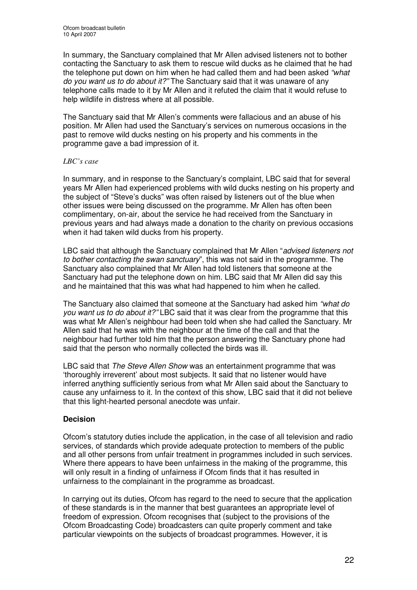In summary, the Sanctuary complained that Mr Allen advised listeners not to bother contacting the Sanctuary to ask them to rescue wild ducks as he claimed that he had the telephone put down on him when he had called them and had been asked *"what do you want us to do about it?"* The Sanctuary said that it was unaware of any telephone calls made to it by Mr Allen and it refuted the claim that it would refuse to help wildlife in distress where at all possible.

The Sanctuary said that Mr Allen's comments were fallacious and an abuse of his position. Mr Allen had used the Sanctuary's services on numerous occasions in the past to remove wild ducks nesting on his property and his comments in the programme gave a bad impression of it.

#### *LBC's case*

In summary, and in response to the Sanctuary's complaint, LBC said that for several years Mr Allen had experienced problems with wild ducks nesting on his property and the subject of "Steve's ducks" was often raised by listeners out of the blue when other issues were being discussed on the programme. Mr Allen has often been complimentary, on-air, about the service he had received from the Sanctuary in previous years and had always made a donation to the charity on previous occasions when it had taken wild ducks from his property.

LBC said that although the Sanctuary complained that Mr Allen "*advised listeners not to bother contacting the swan sanctuary*", this was not said in the programme. The Sanctuary also complained that Mr Allen had told listeners that someone at the Sanctuary had put the telephone down on him. LBC said that Mr Allen did say this and he maintained that this was what had happened to him when he called.

The Sanctuary also claimed that someone at the Sanctuary had asked him *"what do you want us to do about it?"* LBC said that it was clear from the programme that this was what Mr Allen's neighbour had been told when she had called the Sanctuary. Mr Allen said that he was with the neighbour at the time of the call and that the neighbour had further told him that the person answering the Sanctuary phone had said that the person who normally collected the birds was ill.

LBC said that *The Steve Allen Show* was an entertainment programme that was 'thoroughly irreverent' about most subjects. It said that no listener would have inferred anything sufficiently serious from what Mr Allen said about the Sanctuary to cause any unfairness to it. In the context of this show, LBC said that it did not believe that this light-hearted personal anecdote was unfair.

#### **Decision**

Ofcom's statutory duties include the application, in the case of all television and radio services, of standards which provide adequate protection to members of the public and all other persons from unfair treatment in programmes included in such services. Where there appears to have been unfairness in the making of the programme, this will only result in a finding of unfairness if Ofcom finds that it has resulted in unfairness to the complainant in the programme as broadcast.

In carrying out its duties, Ofcom has regard to the need to secure that the application of these standards is in the manner that best guarantees an appropriate level of freedom of expression. Ofcom recognises that (subject to the provisions of the Ofcom Broadcasting Code) broadcasters can quite properly comment and take particular viewpoints on the subjects of broadcast programmes. However, it is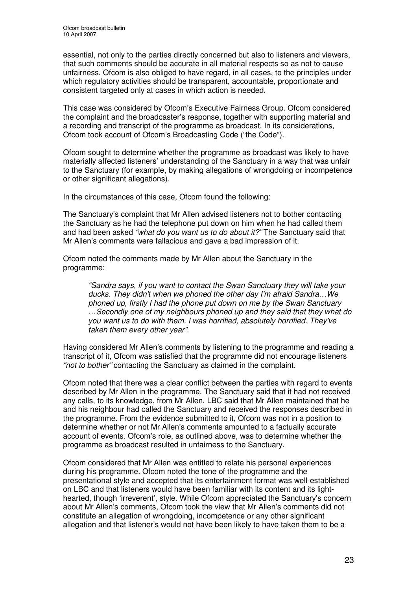essential, not only to the parties directly concerned but also to listeners and viewers, that such comments should be accurate in all material respects so as not to cause unfairness. Ofcom is also obliged to have regard, in all cases, to the principles under which regulatory activities should be transparent, accountable, proportionate and consistent targeted only at cases in which action is needed.

This case was considered by Ofcom's Executive Fairness Group. Ofcom considered the complaint and the broadcaster's response, together with supporting material and a recording and transcript of the programme as broadcast. In its considerations, Ofcom took account of Ofcom's Broadcasting Code ("the Code").

Ofcom sought to determine whether the programme as broadcast was likely to have materially affected listeners' understanding of the Sanctuary in a way that was unfair to the Sanctuary (for example, by making allegations of wrongdoing or incompetence or other significant allegations).

In the circumstances of this case, Ofcom found the following:

The Sanctuary's complaint that Mr Allen advised listeners not to bother contacting the Sanctuary as he had the telephone put down on him when he had called them and had been asked *"what do you want us to do about it?"* The Sanctuary said that Mr Allen's comments were fallacious and gave a bad impression of it.

Ofcom noted the comments made by Mr Allen about the Sanctuary in the programme:

*"Sandra says, if you want to contact the Swan Sanctuary they will take your ducks. They didn't when we phoned the other day I'm afraid Sandra…We phoned up, firstly I had the phone put down on me by the Swan Sanctuary …Secondly one of my neighbours phoned up and they said that they what do you want us to do with them. I was horrified, absolutely horrified. They've taken them every other year".*

Having considered Mr Allen's comments by listening to the programme and reading a transcript of it, Ofcom was satisfied that the programme did not encourage listeners *"not to bother"* contacting the Sanctuary as claimed in the complaint.

Ofcom noted that there was a clear conflict between the parties with regard to events described by Mr Allen in the programme. The Sanctuary said that it had not received any calls, to its knowledge, from Mr Allen. LBC said that Mr Allen maintained that he and his neighbour had called the Sanctuary and received the responses described in the programme. From the evidence submitted to it, Ofcom was not in a position to determine whether or not Mr Allen's comments amounted to a factually accurate account of events. Ofcom's role, as outlined above, was to determine whether the programme as broadcast resulted in unfairness to the Sanctuary.

Ofcom considered that Mr Allen was entitled to relate his personal experiences during his programme. Ofcom noted the tone of the programme and the presentational style and accepted that its entertainment format was well-established on LBC and that listeners would have been familiar with its content and its lighthearted, though 'irreverent', style. While Ofcom appreciated the Sanctuary's concern about Mr Allen's comments, Ofcom took the view that Mr Allen's comments did not constitute an allegation of wrongdoing, incompetence or any other significant allegation and that listener's would not have been likely to have taken them to be a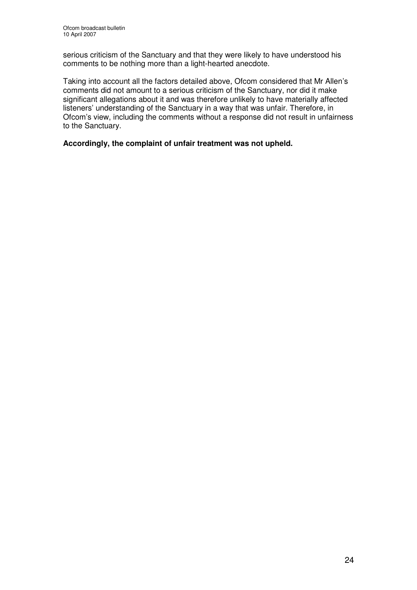serious criticism of the Sanctuary and that they were likely to have understood his comments to be nothing more than a light-hearted anecdote.

Taking into account all the factors detailed above, Ofcom considered that Mr Allen's comments did not amount to a serious criticism of the Sanctuary, nor did it make significant allegations about it and was therefore unlikely to have materially affected listeners' understanding of the Sanctuary in a way that was unfair. Therefore, in Ofcom's view, including the comments without a response did not result in unfairness to the Sanctuary.

**Accordingly, the complaint of unfair treatment was not upheld.**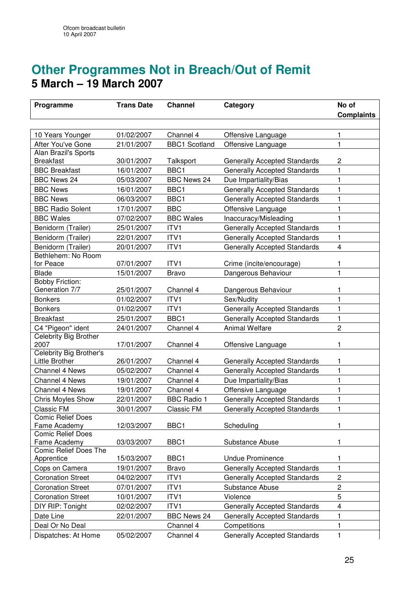# **Other Programmes Not in Breach/Out of Remit 5 March – 19 March 2007**

| Programme                                | <b>Trans Date</b> | <b>Channel</b>       | Category                            | No of                   |
|------------------------------------------|-------------------|----------------------|-------------------------------------|-------------------------|
|                                          |                   |                      |                                     | <b>Complaints</b>       |
|                                          |                   |                      |                                     |                         |
| 10 Years Younger                         | 01/02/2007        | Channel 4            | Offensive Language                  | 1                       |
| After You've Gone                        | 21/01/2007        | <b>BBC1 Scotland</b> | Offensive Language                  | $\mathbf{1}$            |
| Alan Brazil's Sports                     |                   |                      |                                     |                         |
| <b>Breakfast</b>                         | 30/01/2007        | Talksport            | Generally Accepted Standards        | $\overline{c}$          |
| <b>BBC Breakfast</b>                     | 16/01/2007        | BBC1                 | <b>Generally Accepted Standards</b> | 1                       |
| <b>BBC News 24</b>                       | 05/03/2007        | <b>BBC News 24</b>   | Due Impartiality/Bias               | $\mathbf{1}$            |
| <b>BBC News</b>                          | 16/01/2007        | BBC1                 | <b>Generally Accepted Standards</b> | 1                       |
| <b>BBC News</b>                          | 06/03/2007        | BBC1                 | <b>Generally Accepted Standards</b> | 1                       |
| <b>BBC Radio Solent</b>                  | 17/01/2007        | <b>BBC</b>           | Offensive Language                  | 1                       |
| <b>BBC Wales</b>                         | 07/02/2007        | <b>BBC Wales</b>     | Inaccuracy/Misleading               | 1                       |
| Benidorm (Trailer)                       | 25/01/2007        | ITV1                 | Generally Accepted Standards        | 1                       |
| Benidorm (Trailer)                       | 22/01/2007        | ITV1                 | <b>Generally Accepted Standards</b> | $\mathbf{1}$            |
| Benidorm (Trailer)                       | 20/01/2007        | ITV1                 | <b>Generally Accepted Standards</b> | $\overline{\mathbf{4}}$ |
| Bethlehem: No Room                       |                   |                      |                                     |                         |
| for Peace                                | 07/01/2007        | ITV1                 | Crime (incite/encourage)            | 1                       |
| <b>Blade</b>                             | 15/01/2007        | <b>Bravo</b>         | Dangerous Behaviour                 | $\mathbf{1}$            |
| <b>Bobby Friction:</b><br>Generation 7/7 | 25/01/2007        | Channel 4            | Dangerous Behaviour                 | 1                       |
| <b>Bonkers</b>                           | 01/02/2007        | ITV1                 | Sex/Nudity                          | 1                       |
| <b>Bonkers</b>                           | 01/02/2007        | ITV1                 | <b>Generally Accepted Standards</b> | 1                       |
| <b>Breakfast</b>                         | 25/01/2007        | BBC1                 | Generally Accepted Standards        | 1                       |
| C4 "Pigeon" ident                        | 24/01/2007        | Channel 4            | <b>Animal Welfare</b>               | $\overline{c}$          |
| Celebrity Big Brother                    |                   |                      |                                     |                         |
| 2007                                     | 17/01/2007        | Channel 4            | Offensive Language                  | 1                       |
| Celebrity Big Brother's                  |                   |                      |                                     |                         |
| Little Brother                           | 26/01/2007        | Channel 4            | <b>Generally Accepted Standards</b> | 1                       |
| <b>Channel 4 News</b>                    | 05/02/2007        | Channel 4            | <b>Generally Accepted Standards</b> | 1                       |
| Channel 4 News                           | 19/01/2007        | Channel 4            | Due Impartiality/Bias               | 1                       |
| Channel 4 News                           | 19/01/2007        | Channel 4            | Offensive Language                  | 1                       |
| Chris Moyles Show                        | 22/01/2007        | <b>BBC Radio 1</b>   | <b>Generally Accepted Standards</b> | 1                       |
| Classic FM                               | 30/01/2007        | <b>Classic FM</b>    | <b>Generally Accepted Standards</b> | 1                       |
| <b>Comic Relief Does</b>                 |                   |                      |                                     |                         |
| Fame Academy                             | 12/03/2007        | BBC1                 | Scheduling                          | 1                       |
| <b>Comic Relief Does</b><br>Fame Academy | 03/03/2007        | BBC1                 | Substance Abuse                     | 1                       |
| <b>Comic Relief Does The</b>             |                   |                      |                                     |                         |
| Apprentice                               | 15/03/2007        | BBC1                 | <b>Undue Prominence</b>             | 1                       |
| Cops on Camera                           | 19/01/2007        | <b>Bravo</b>         | <b>Generally Accepted Standards</b> | $\mathbf{1}$            |
| <b>Coronation Street</b>                 | 04/02/2007        | ITV1                 | <b>Generally Accepted Standards</b> | $\overline{c}$          |
| <b>Coronation Street</b>                 | 07/01/2007        | ITV1                 | Substance Abuse                     | $\overline{c}$          |
| <b>Coronation Street</b>                 | 10/01/2007        | ITV <sub>1</sub>     | Violence                            | 5                       |
| DIY RIP: Tonight                         | 02/02/2007        | ITV1                 | <b>Generally Accepted Standards</b> | 4                       |
| Date Line                                | 22/01/2007        | <b>BBC News 24</b>   | <b>Generally Accepted Standards</b> | 1                       |
| Deal Or No Deal                          |                   | Channel 4            | Competitions                        | 1                       |
| Dispatches: At Home                      | 05/02/2007        | Channel 4            | <b>Generally Accepted Standards</b> | $\mathbf{1}$            |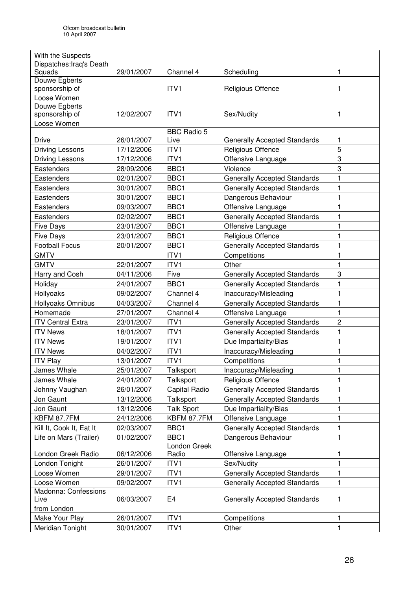| With the Suspects            |            |                    |                                     |   |
|------------------------------|------------|--------------------|-------------------------------------|---|
| Dispatches: Iraq's Death     |            |                    |                                     |   |
| Squads                       | 29/01/2007 | Channel 4          | Scheduling                          | 1 |
| Douwe Egberts                |            |                    |                                     |   |
| sponsorship of               |            | ITV1               | Religious Offence                   | 1 |
| Loose Women<br>Douwe Egberts |            |                    |                                     |   |
| sponsorship of               | 12/02/2007 | ITV1               | Sex/Nudity                          | 1 |
| Loose Women                  |            |                    |                                     |   |
|                              |            | <b>BBC Radio 5</b> |                                     |   |
| Drive                        | 26/01/2007 | Live               | <b>Generally Accepted Standards</b> | 1 |
| <b>Driving Lessons</b>       | 17/12/2006 | ITV1               | Religious Offence                   | 5 |
| <b>Driving Lessons</b>       | 17/12/2006 | ITV1               | Offensive Language                  | 3 |
| Eastenders                   | 28/09/2006 | BBC1               | Violence                            | 3 |
| Eastenders                   | 02/01/2007 | BBC1               | <b>Generally Accepted Standards</b> | 1 |
| Eastenders                   | 30/01/2007 | BBC1               | <b>Generally Accepted Standards</b> | 1 |
| Eastenders                   | 30/01/2007 | BBC1               | Dangerous Behaviour                 | 1 |
| Eastenders                   | 09/03/2007 | BBC1               | Offensive Language                  | 1 |
| Eastenders                   | 02/02/2007 | BBC1               | <b>Generally Accepted Standards</b> | 1 |
| <b>Five Days</b>             | 23/01/2007 | BBC1               | Offensive Language                  | 1 |
| <b>Five Days</b>             | 23/01/2007 | BBC1               | Religious Offence                   | 1 |
| <b>Football Focus</b>        | 20/01/2007 | BBC1               | <b>Generally Accepted Standards</b> | 1 |
| <b>GMTV</b>                  |            | ITV1               | Competitions                        | 1 |
| <b>GMTV</b>                  | 22/01/2007 | ITV1               | Other                               | 1 |
| Harry and Cosh               | 04/11/2006 | Five               | <b>Generally Accepted Standards</b> | 3 |
| Holiday                      | 24/01/2007 | BBC1               | <b>Generally Accepted Standards</b> | 1 |
| Hollyoaks                    | 09/02/2007 | Channel 4          | Inaccuracy/Misleading               | 1 |
| Hollyoaks Omnibus            | 04/03/2007 | Channel 4          | <b>Generally Accepted Standards</b> | 1 |
| Homemade                     | 27/01/2007 | Channel 4          | Offensive Language                  | 1 |
| <b>ITV Central Extra</b>     | 23/01/2007 | ITV1               | <b>Generally Accepted Standards</b> | 2 |
| <b>ITV News</b>              | 18/01/2007 | ITV1               | <b>Generally Accepted Standards</b> | 1 |
| <b>ITV News</b>              | 19/01/2007 | ITV1               | Due Impartiality/Bias               | 1 |
| <b>ITV News</b>              | 04/02/2007 | ITV1               | Inaccuracy/Misleading               | 1 |
| <b>ITV Play</b>              | 13/01/2007 | ITV1               | Competitions                        | 1 |
| James Whale                  | 25/01/2007 | Talksport          | Inaccuracy/Misleading               | 1 |
| James Whale                  | 24/01/2007 | Talksport          | Religious Offence                   | 1 |
| Johnny Vaughan               | 26/01/2007 | Capital Radio      | <b>Generally Accepted Standards</b> | 1 |
| Jon Gaunt                    | 13/12/2006 | Talksport          | <b>Generally Accepted Standards</b> | 1 |
| Jon Gaunt                    | 13/12/2006 | <b>Talk Sport</b>  | Due Impartiality/Bias               | 1 |
| KBFM 87.7FM                  | 24/12/2006 | KBFM 87.7FM        | Offensive Language                  | 1 |
| Kill It, Cook It, Eat It     | 02/03/2007 | BBC1               | <b>Generally Accepted Standards</b> | 1 |
| Life on Mars (Trailer)       | 01/02/2007 | BBC1               | Dangerous Behaviour                 | 1 |
|                              |            | London Greek       |                                     |   |
| London Greek Radio           | 06/12/2006 | Radio              | Offensive Language                  | 1 |
| London Tonight               | 26/01/2007 | ITV1               | Sex/Nudity                          | 1 |
| Loose Women                  | 29/01/2007 | ITV1               | <b>Generally Accepted Standards</b> | 1 |
| Loose Women                  | 09/02/2007 | ITV1               | <b>Generally Accepted Standards</b> | 1 |
| Madonna: Confessions<br>Live | 06/03/2007 | E <sub>4</sub>     | <b>Generally Accepted Standards</b> | 1 |
| from London                  |            |                    |                                     |   |
| Make Your Play               | 26/01/2007 | ITV1               | Competitions                        | 1 |
| Meridian Tonight             | 30/01/2007 | ITV1               | Other                               | 1 |
|                              |            |                    |                                     |   |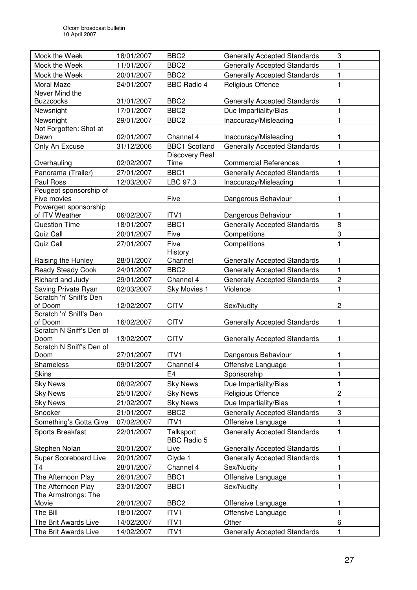| Mock the Week                       | 18/01/2007 | BBC <sub>2</sub>     | <b>Generally Accepted Standards</b> | 3              |
|-------------------------------------|------------|----------------------|-------------------------------------|----------------|
| Mock the Week                       | 11/01/2007 | BBC <sub>2</sub>     | <b>Generally Accepted Standards</b> | 1              |
| Mock the Week                       | 20/01/2007 | BBC <sub>2</sub>     | <b>Generally Accepted Standards</b> | 1              |
| Moral Maze                          | 24/01/2007 | <b>BBC Radio 4</b>   | Religious Offence                   | 1              |
| Never Mind the                      |            |                      |                                     |                |
| <b>Buzzcocks</b>                    | 31/01/2007 | BBC <sub>2</sub>     | <b>Generally Accepted Standards</b> | 1              |
| Newsnight                           | 17/01/2007 | BBC <sub>2</sub>     | Due Impartiality/Bias               | 1              |
| Newsnight                           | 29/01/2007 | BBC <sub>2</sub>     | Inaccuracy/Misleading               | 1              |
| Not Forgotten: Shot at              |            |                      |                                     |                |
| Dawn                                | 02/01/2007 | Channel 4            | Inaccuracy/Misleading               | 1              |
| Only An Excuse                      | 31/12/2006 | <b>BBC1 Scotland</b> | <b>Generally Accepted Standards</b> | 1              |
|                                     |            | Discovery Real       |                                     | 1              |
| Overhauling                         | 02/02/2007 | Time<br>BBC1         | <b>Commercial References</b>        |                |
| Panorama (Trailer)                  | 27/01/2007 |                      | <b>Generally Accepted Standards</b> | 1              |
| Paul Ross<br>Peugeot sponsorship of | 12/03/2007 | LBC 97.3             | Inaccuracy/Misleading               | 1              |
| Five movies                         |            | Five                 | Dangerous Behaviour                 | 1              |
| Powergen sponsorship                |            |                      |                                     |                |
| of ITV Weather                      | 06/02/2007 | ITV1                 | Dangerous Behaviour                 | 1              |
| <b>Question Time</b>                | 18/01/2007 | BBC1                 | <b>Generally Accepted Standards</b> | 8              |
| Quiz Call                           | 20/01/2007 | Five                 | Competitions                        | 3              |
| Quiz Call                           | 27/01/2007 | Five                 | Competitions                        | 1              |
|                                     |            | History              |                                     |                |
| Raising the Hunley                  | 28/01/2007 | Channel              | <b>Generally Accepted Standards</b> | 1              |
| <b>Ready Steady Cook</b>            | 24/01/2007 | BBC <sub>2</sub>     | <b>Generally Accepted Standards</b> | 1              |
| Richard and Judy                    | 29/01/2007 | Channel 4            | <b>Generally Accepted Standards</b> | 2              |
| Saving Private Ryan                 | 02/03/2007 | Sky Movies 1         | Violence                            | 1              |
| Scratch 'n' Sniff's Den             |            |                      |                                     |                |
| of Doom                             | 12/02/2007 | <b>CITV</b>          | Sex/Nudity                          | $\overline{c}$ |
| Scratch 'n' Sniff's Den             |            |                      |                                     |                |
| of Doom<br>Scratch N Sniff's Den of | 16/02/2007 | <b>CITV</b>          | <b>Generally Accepted Standards</b> | 1              |
| Doom                                | 13/02/2007 | <b>CITV</b>          | <b>Generally Accepted Standards</b> | 1              |
| Scratch N Sniff's Den of            |            |                      |                                     |                |
| Doom                                | 27/01/2007 | ITV <sub>1</sub>     | Dangerous Behaviour                 | 1              |
| Shameless                           | 09/01/2007 | Channel 4            | Offensive Language                  | 1              |
| <b>Skins</b>                        |            | E <sub>4</sub>       | Sponsorship                         | 1              |
| <b>Sky News</b>                     | 06/02/2007 | <b>Sky News</b>      | Due Impartiality/Bias               | 1              |
| <b>Sky News</b>                     | 25/01/2007 | <b>Sky News</b>      | Religious Offence                   | $\overline{c}$ |
| <b>Sky News</b>                     | 21/02/2007 | <b>Sky News</b>      | Due Impartiality/Bias               | 1              |
| Snooker                             | 21/01/2007 | BBC <sub>2</sub>     | <b>Generally Accepted Standards</b> | 3              |
| Something's Gotta Give              | 07/02/2007 | ITV1                 | Offensive Language                  | 1              |
| Sports Breakfast                    | 22/01/2007 | Talksport            | <b>Generally Accepted Standards</b> | 1              |
|                                     |            | <b>BBC Radio 5</b>   |                                     |                |
| Stephen Nolan                       | 20/01/2007 | Live                 | <b>Generally Accepted Standards</b> | 1              |
| Super Scoreboard Live               | 20/01/2007 | Clyde 1              | <b>Generally Accepted Standards</b> | $\mathbf{1}$   |
| T <sub>4</sub>                      | 28/01/2007 | Channel 4            | Sex/Nudity                          | 1              |
| The Afternoon Play                  | 26/01/2007 | BBC1                 | Offensive Language                  | 1              |
| The Afternoon Play                  | 23/01/2007 | BBC1                 | Sex/Nudity                          | $\mathbf{1}$   |
| The Armstrongs: The                 |            |                      |                                     |                |
| Movie                               | 28/01/2007 | BBC <sub>2</sub>     | Offensive Language                  | 1              |
| The Bill                            | 18/01/2007 | ITV1                 | Offensive Language                  | $\mathbf{1}$   |
| The Brit Awards Live                | 14/02/2007 | ITV1                 | Other                               | 6              |
| The Brit Awards Live                | 14/02/2007 | ITV1                 | <b>Generally Accepted Standards</b> | 1              |